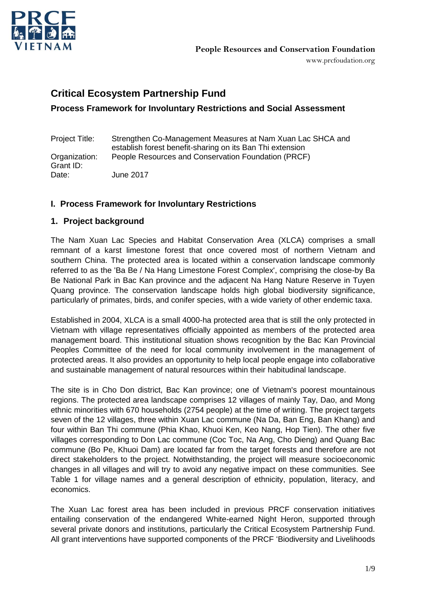

# **Critical Ecosystem Partnership Fund**

## **Process Framework for Involuntary Restrictions and Social Assessment**

| Project Title:             | Strengthen Co-Management Measures at Nam Xuan Lac SHCA and<br>establish forest benefit-sharing on its Ban Thi extension |
|----------------------------|-------------------------------------------------------------------------------------------------------------------------|
| Organization:<br>Grant ID: | People Resources and Conservation Foundation (PRCF)                                                                     |
| Date:                      | June 2017                                                                                                               |

### **I. Process Framework for Involuntary Restrictions**

### **1. Project background**

The Nam Xuan Lac Species and Habitat Conservation Area (XLCA) comprises a small remnant of a karst limestone forest that once covered most of northern Vietnam and southern China. The protected area is located within a conservation landscape commonly referred to as the 'Ba Be / Na Hang Limestone Forest Complex', comprising the close-by Ba Be National Park in Bac Kan province and the adjacent Na Hang Nature Reserve in Tuyen Quang province. The conservation landscape holds high global biodiversity significance, particularly of primates, birds, and conifer species, with a wide variety of other endemic taxa.

Established in 2004, XLCA is a small 4000-ha protected area that is still the only protected in Vietnam with village representatives officially appointed as members of the protected area management board. This institutional situation shows recognition by the Bac Kan Provincial Peoples Committee of the need for local community involvement in the management of protected areas. It also provides an opportunity to help local people engage into collaborative and sustainable management of natural resources within their habitudinal landscape.

The site is in Cho Don district, Bac Kan province; one of Vietnam's poorest mountainous regions. The protected area landscape comprises 12 villages of mainly Tay, Dao, and Mong ethnic minorities with 670 households (2754 people) at the time of writing. The project targets seven of the 12 villages, three within Xuan Lac commune (Na Da, Ban Eng, Ban Khang) and four within Ban Thi commune (Phia Khao, Khuoi Ken, Keo Nang, Hop Tien). The other five villages corresponding to Don Lac commune (Coc Toc, Na Ang, Cho Dieng) and Quang Bac commune (Bo Pe, Khuoi Dam) are located far from the target forests and therefore are not direct stakeholders to the project. Notwithstanding, the project will measure socioeconomic changes in all villages and will try to avoid any negative impact on these communities. See Table 1 for village names and a general description of ethnicity, population, literacy, and economics.

The Xuan Lac forest area has been included in previous PRCF conservation initiatives entailing conservation of the endangered White-earned Night Heron, supported through several private donors and institutions, particularly the Critical Ecosystem Partnership Fund. All grant interventions have supported components of the PRCF 'Biodiversity and Livelihoods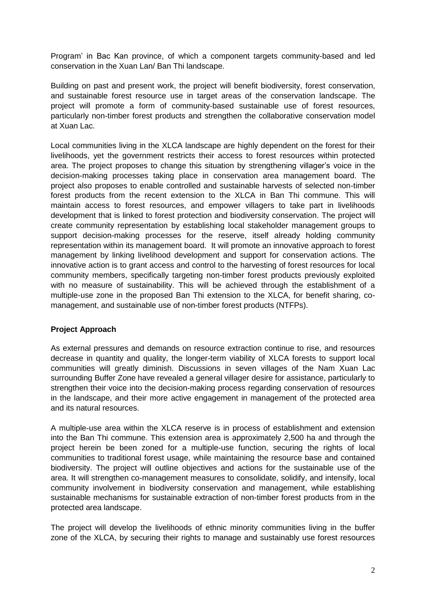Program' in Bac Kan province, of which a component targets community-based and led conservation in the Xuan Lan/ Ban Thi landscape.

Building on past and present work, the project will benefit biodiversity, forest conservation, and sustainable forest resource use in target areas of the conservation landscape. The project will promote a form of community-based sustainable use of forest resources, particularly non-timber forest products and strengthen the collaborative conservation model at Xuan Lac.

Local communities living in the XLCA landscape are highly dependent on the forest for their livelihoods, yet the government restricts their access to forest resources within protected area. The project proposes to change this situation by strengthening villager's voice in the decision-making processes taking place in conservation area management board. The project also proposes to enable controlled and sustainable harvests of selected non-timber forest products from the recent extension to the XLCA in Ban Thi commune. This will maintain access to forest resources, and empower villagers to take part in livelihoods development that is linked to forest protection and biodiversity conservation. The project will create community representation by establishing local stakeholder management groups to support decision-making processes for the reserve, itself already holding community representation within its management board. It will promote an innovative approach to forest management by linking livelihood development and support for conservation actions. The innovative action is to grant access and control to the harvesting of forest resources for local community members, specifically targeting non-timber forest products previously exploited with no measure of sustainability. This will be achieved through the establishment of a multiple-use zone in the proposed Ban Thi extension to the XLCA, for benefit sharing, comanagement, and sustainable use of non-timber forest products (NTFPs).

### **Project Approach**

As external pressures and demands on resource extraction continue to rise, and resources decrease in quantity and quality, the longer-term viability of XLCA forests to support local communities will greatly diminish. Discussions in seven villages of the Nam Xuan Lac surrounding Buffer Zone have revealed a general villager desire for assistance, particularly to strengthen their voice into the decision-making process regarding conservation of resources in the landscape, and their more active engagement in management of the protected area and its natural resources.

A multiple-use area within the XLCA reserve is in process of establishment and extension into the Ban Thi commune. This extension area is approximately 2,500 ha and through the project herein be been zoned for a multiple-use function, securing the rights of local communities to traditional forest usage, while maintaining the resource base and contained biodiversity. The project will outline objectives and actions for the sustainable use of the area. It will strengthen co-management measures to consolidate, solidify, and intensify, local community involvement in biodiversity conservation and management, while establishing sustainable mechanisms for sustainable extraction of non-timber forest products from in the protected area landscape.

The project will develop the livelihoods of ethnic minority communities living in the buffer zone of the XLCA, by securing their rights to manage and sustainably use forest resources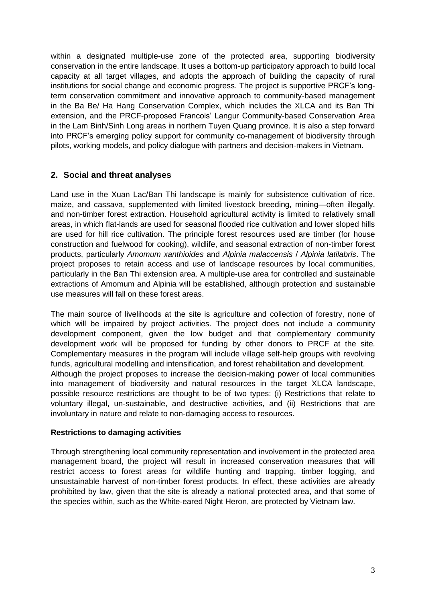within a designated multiple-use zone of the protected area, supporting biodiversity conservation in the entire landscape. It uses a bottom-up participatory approach to build local capacity at all target villages, and adopts the approach of building the capacity of rural institutions for social change and economic progress. The project is supportive PRCF's longterm conservation commitment and innovative approach to community-based management in the Ba Be/ Ha Hang Conservation Complex, which includes the XLCA and its Ban Thi extension, and the PRCF-proposed Francois' Langur Community-based Conservation Area in the Lam Binh/Sinh Long areas in northern Tuyen Quang province. It is also a step forward into PRCF's emerging policy support for community co-management of biodiversity through pilots, working models, and policy dialogue with partners and decision-makers in Vietnam.

## **2. Social and threat analyses**

Land use in the Xuan Lac/Ban Thi landscape is mainly for subsistence cultivation of rice, maize, and cassava, supplemented with limited livestock breeding, mining—often illegally, and non-timber forest extraction. Household agricultural activity is limited to relatively small areas, in which flat-lands are used for seasonal flooded rice cultivation and lower sloped hills are used for hill rice cultivation. The principle forest resources used are timber (for house construction and fuelwood for cooking), wildlife, and seasonal extraction of non-timber forest products, particularly *Amomum xanthioides* and *Alpinia malaccensis* / *Alpinia latilabris*. The project proposes to retain access and use of landscape resources by local communities, particularly in the Ban Thi extension area. A multiple-use area for controlled and sustainable extractions of Amomum and Alpinia will be established, although protection and sustainable use measures will fall on these forest areas.

The main source of livelihoods at the site is agriculture and collection of forestry, none of which will be impaired by project activities. The project does not include a community development component, given the low budget and that complementary community development work will be proposed for funding by other donors to PRCF at the site. Complementary measures in the program will include village self-help groups with revolving funds, agricultural modelling and intensification, and forest rehabilitation and development. Although the project proposes to increase the decision-making power of local communities into management of biodiversity and natural resources in the target XLCA landscape, possible resource restrictions are thought to be of two types: (i) Restrictions that relate to voluntary illegal, un-sustainable, and destructive activities, and (ii) Restrictions that are involuntary in nature and relate to non-damaging access to resources.

#### **Restrictions to damaging activities**

Through strengthening local community representation and involvement in the protected area management board, the project will result in increased conservation measures that will restrict access to forest areas for wildlife hunting and trapping, timber logging, and unsustainable harvest of non-timber forest products. In effect, these activities are already prohibited by law, given that the site is already a national protected area, and that some of the species within, such as the White-eared Night Heron, are protected by Vietnam law.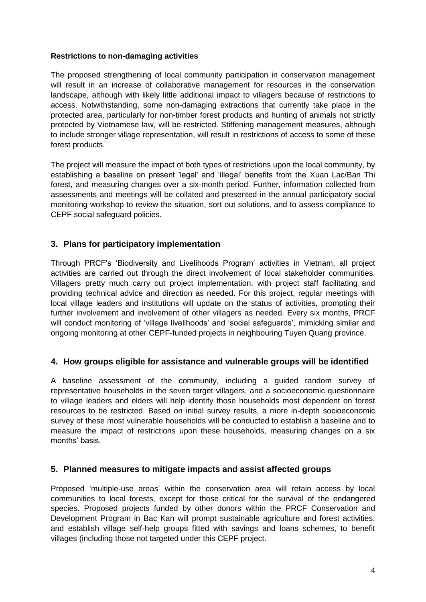### **Restrictions to non-damaging activities**

The proposed strengthening of local community participation in conservation management will result in an increase of collaborative management for resources in the conservation landscape, although with likely little additional impact to villagers because of restrictions to access. Notwithstanding, some non-damaging extractions that currently take place in the protected area, particularly for non-timber forest products and hunting of animals not strictly protected by Vietnamese law, will be restricted. Stiffening management measures, although to include stronger village representation, will result in restrictions of access to some of these forest products.

The project will measure the impact of both types of restrictions upon the local community, by establishing a baseline on present 'legal' and 'illegal' benefits from the Xuan Lac/Ban Thi forest, and measuring changes over a six-month period. Further, information collected from assessments and meetings will be collated and presented in the annual participatory social monitoring workshop to review the situation, sort out solutions, and to assess compliance to CEPF social safeguard policies.

## **3. Plans for participatory implementation**

Through PRCF's 'Biodiversity and Livelihoods Program' activities in Vietnam, all project activities are carried out through the direct involvement of local stakeholder communities. Villagers pretty much carry out project implementation, with project staff facilitating and providing technical advice and direction as needed. For this project, regular meetings with local village leaders and institutions will update on the status of activities, prompting their further involvement and involvement of other villagers as needed. Every six months, PRCF will conduct monitoring of 'village livelihoods' and 'social safeguards', mimicking similar and ongoing monitoring at other CEPF-funded projects in neighbouring Tuyen Quang province.

### **4. How groups eligible for assistance and vulnerable groups will be identified**

A baseline assessment of the community, including a guided random survey of representative households in the seven target villagers, and a socioeconomic questionnaire to village leaders and elders will help identify those households most dependent on forest resources to be restricted. Based on initial survey results, a more in-depth socioeconomic survey of these most vulnerable households will be conducted to establish a baseline and to measure the impact of restrictions upon these households, measuring changes on a six months' basis.

### **5. Planned measures to mitigate impacts and assist affected groups**

Proposed 'multiple-use areas' within the conservation area will retain access by local communities to local forests, except for those critical for the survival of the endangered species. Proposed projects funded by other donors within the PRCF Conservation and Development Program in Bac Kan will prompt sustainable agriculture and forest activities, and establish village self-help groups fitted with savings and loans schemes, to benefit villages (including those not targeted under this CEPF project.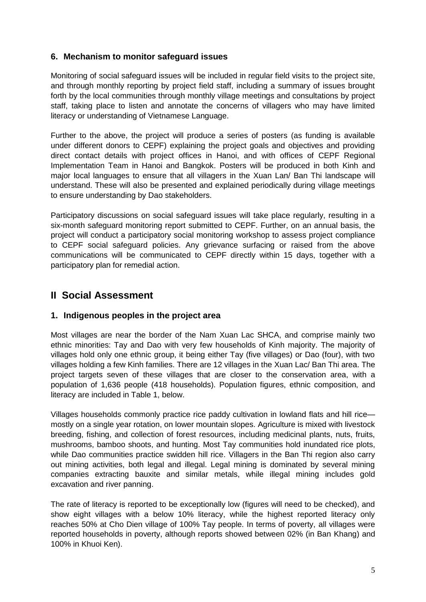## **6. Mechanism to monitor safeguard issues**

Monitoring of social safeguard issues will be included in regular field visits to the project site, and through monthly reporting by project field staff, including a summary of issues brought forth by the local communities through monthly village meetings and consultations by project staff, taking place to listen and annotate the concerns of villagers who may have limited literacy or understanding of Vietnamese Language.

Further to the above, the project will produce a series of posters (as funding is available under different donors to CEPF) explaining the project goals and objectives and providing direct contact details with project offices in Hanoi, and with offices of CEPF Regional Implementation Team in Hanoi and Bangkok. Posters will be produced in both Kinh and major local languages to ensure that all villagers in the Xuan Lan/ Ban Thi landscape will understand. These will also be presented and explained periodically during village meetings to ensure understanding by Dao stakeholders.

Participatory discussions on social safeguard issues will take place regularly, resulting in a six-month safeguard monitoring report submitted to CEPF. Further, on an annual basis, the project will conduct a participatory social monitoring workshop to assess project compliance to CEPF social safeguard policies. Any grievance surfacing or raised from the above communications will be communicated to CEPF directly within 15 days, together with a participatory plan for remedial action.

# **II Social Assessment**

### **1. Indigenous peoples in the project area**

Most villages are near the border of the Nam Xuan Lac SHCA, and comprise mainly two ethnic minorities: Tay and Dao with very few households of Kinh majority. The majority of villages hold only one ethnic group, it being either Tay (five villages) or Dao (four), with two villages holding a few Kinh families. There are 12 villages in the Xuan Lac/ Ban Thi area. The project targets seven of these villages that are closer to the conservation area, with a population of 1,636 people (418 households). Population figures, ethnic composition, and literacy are included in Table 1, below.

Villages households commonly practice rice paddy cultivation in lowland flats and hill rice mostly on a single year rotation, on lower mountain slopes. Agriculture is mixed with livestock breeding, fishing, and collection of forest resources, including medicinal plants, nuts, fruits, mushrooms, bamboo shoots, and hunting. Most Tay communities hold inundated rice plots, while Dao communities practice swidden hill rice. Villagers in the Ban Thi region also carry out mining activities, both legal and illegal. Legal mining is dominated by several mining companies extracting bauxite and similar metals, while illegal mining includes gold excavation and river panning.

The rate of literacy is reported to be exceptionally low (figures will need to be checked), and show eight villages with a below 10% literacy, while the highest reported literacy only reaches 50% at Cho Dien village of 100% Tay people. In terms of poverty, all villages were reported households in poverty, although reports showed between 02% (in Ban Khang) and 100% in Khuoi Ken).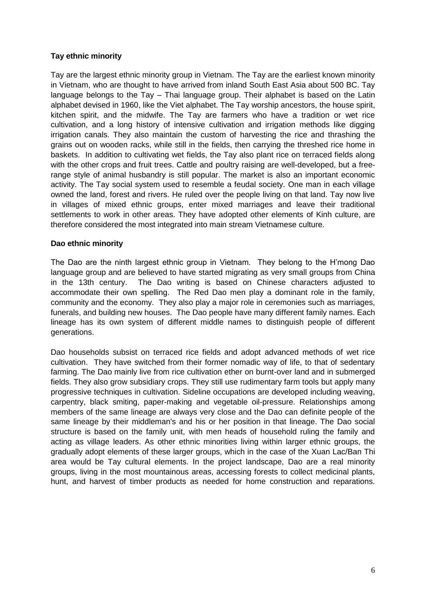### **Tay ethnic minority**

Tay are the largest ethnic minority group in Vietnam. The Tay are the earliest known minority in Vietnam, who are thought to have arrived from inland South East Asia about 500 BC. Tay language belongs to the Tay – Thai language group. Their alphabet is based on the Latin alphabet devised in 1960, like the Viet alphabet. The Tay worship ancestors, the house spirit, kitchen spirit, and the midwife. The Tay are farmers who have a tradition or wet rice cultivation, and a long history of intensive cultivation and irrigation methods like digging irrigation canals. They also maintain the custom of harvesting the rice and thrashing the grains out on wooden racks, while still in the fields, then carrying the threshed rice home in baskets. In addition to cultivating wet fields, the Tay also plant rice on terraced fields along with the other crops and fruit trees. Cattle and poultry raising are well-developed, but a freerange style of animal husbandry is still popular. The market is also an important economic activity. The Tay social system used to resemble a feudal society. One man in each village owned the land, forest and rivers. He ruled over the people living on that land. Tay now live in villages of mixed ethnic groups, enter mixed marriages and leave their traditional settlements to work in other areas. They have adopted other elements of Kinh culture, are therefore considered the most integrated into main stream Vietnamese culture.

#### **Dao ethnic minority**

The Dao are the ninth largest ethnic group in Vietnam. They belong to the H'mong Dao language group and are believed to have started migrating as very small groups from China in the 13th century. The Dao writing is based on Chinese characters adjusted to accommodate their own spelling. The Red Dao men play a dominant role in the family, community and the economy. They also play a major role in ceremonies such as marriages, funerals, and building new houses. The Dao people have many different family names. Each lineage has its own system of different middle names to distinguish people of different generations.

Dao households subsist on terraced rice fields and adopt advanced methods of wet rice cultivation. They have switched from their former nomadic way of life, to that of sedentary farming. The Dao mainly live from rice cultivation ether on burnt-over land and in submerged fields. They also grow subsidiary crops. They still use rudimentary farm tools but apply many progressive techniques in cultivation. Sideline occupations are developed including weaving, carpentry, black smiting, paper-making and vegetable oil-pressure. Relationships among members of the same lineage are always very close and the Dao can definite people of the same lineage by their middleman's and his or her position in that lineage. The Dao social structure is based on the family unit, with men heads of household ruling the family and acting as village leaders. As other ethnic minorities living within larger ethnic groups, the gradually adopt elements of these larger groups, which in the case of the Xuan Lac/Ban Thi area would be Tay cultural elements. In the project landscape, Dao are a real minority groups, living in the most mountainous areas, accessing forests to collect medicinal plants, hunt, and harvest of timber products as needed for home construction and reparations.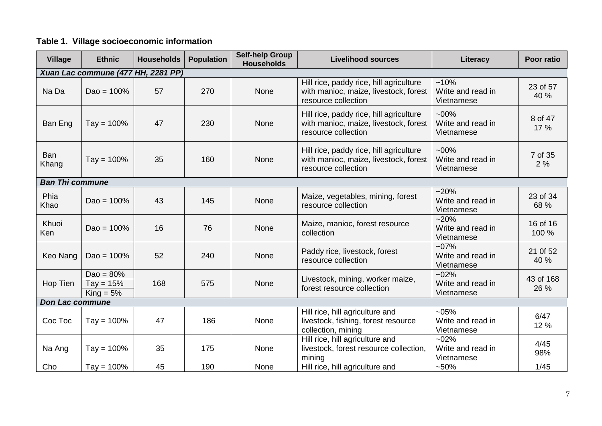# **Table 1. Village socioeconomic information**

| <b>Village</b>                     | <b>Ethnic</b>                              | <b>Households</b> | <b>Population</b> | <b>Self-help Group</b><br><b>Households</b> | <b>Livelihood sources</b>                                                                               | Literacy                                   | Poor ratio        |  |  |  |
|------------------------------------|--------------------------------------------|-------------------|-------------------|---------------------------------------------|---------------------------------------------------------------------------------------------------------|--------------------------------------------|-------------------|--|--|--|
| Xuan Lac commune (477 HH, 2281 PP) |                                            |                   |                   |                                             |                                                                                                         |                                            |                   |  |  |  |
| Na Da                              | $Dao = 100%$                               | 57                | 270               | None                                        | Hill rice, paddy rice, hill agriculture<br>with manioc, maize, livestock, forest<br>resource collection | $~10\%$<br>Write and read in<br>Vietnamese | 23 of 57<br>40 %  |  |  |  |
| Ban Eng                            | $Tay = 100%$                               | 47                | 230               | None                                        | Hill rice, paddy rice, hill agriculture<br>with manioc, maize, livestock, forest<br>resource collection | $-00%$<br>Write and read in<br>Vietnamese  | 8 of 47<br>17 %   |  |  |  |
| <b>Ban</b><br>Khang                | $Tay = 100%$                               | 35                | 160               | None                                        | Hill rice, paddy rice, hill agriculture<br>with manioc, maize, livestock, forest<br>resource collection | $-00\%$<br>Write and read in<br>Vietnamese | 7 of 35<br>2%     |  |  |  |
| <b>Ban Thi commune</b>             |                                            |                   |                   |                                             |                                                                                                         |                                            |                   |  |  |  |
| Phia<br>Khao                       | $Dao = 100%$                               | 43                | 145               | None                                        | Maize, vegetables, mining, forest<br>resource collection                                                | $~20\%$<br>Write and read in<br>Vietnamese | 23 of 34<br>68 %  |  |  |  |
| Khuoi<br>Ken                       | $Dao = 100%$                               | 16                | 76                | None                                        | Maize, manioc, forest resource<br>collection                                                            | $~20\%$<br>Write and read in<br>Vietnamese | 16 of 16<br>100 % |  |  |  |
| Keo Nang                           | $Dao = 100%$                               | 52                | 240               | None                                        | Paddy rice, livestock, forest<br>resource collection                                                    | $-07%$<br>Write and read in<br>Vietnamese  | 21 Of 52<br>40 %  |  |  |  |
| Hop Tien                           | Dao = $80\%$<br>$Tay = 15%$<br>$King = 5%$ | 168               | 575               | None                                        | Livestock, mining, worker maize,<br>forest resource collection                                          | $-02%$<br>Write and read in<br>Vietnamese  | 43 of 168<br>26 % |  |  |  |
| <b>Don Lac commune</b>             |                                            |                   |                   |                                             |                                                                                                         |                                            |                   |  |  |  |
| Coc Toc                            | $Tay = 100%$                               | 47                | 186               | None                                        | Hill rice, hill agriculture and<br>livestock, fishing, forest resource<br>collection, mining            | $-05%$<br>Write and read in<br>Vietnamese  | 6/47<br>12 %      |  |  |  |
| Na Ang                             | $Tay = 100%$                               | 35                | 175               | None                                        | Hill rice, hill agriculture and<br>livestock, forest resource collection,<br>mining                     | $-02%$<br>Write and read in<br>Vietnamese  | 4/45<br>98%       |  |  |  |
| Cho                                | $Tay = 100%$                               | 45                | 190               | None                                        | Hill rice, hill agriculture and                                                                         | $-50%$                                     | 1/45              |  |  |  |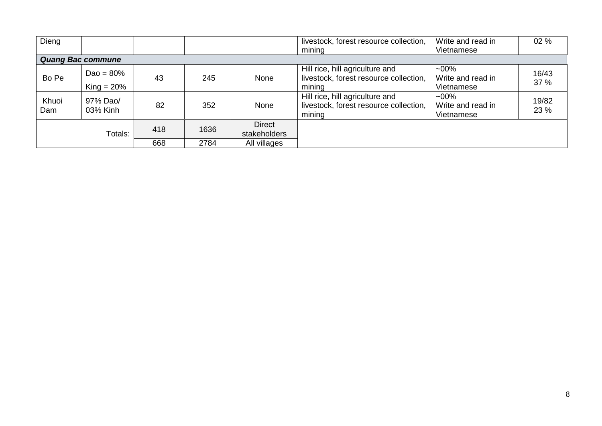| Dieng                    |                      |     |      |                               | livestock, forest resource collection,                                              | Write and read in                           | 02 %          |  |  |  |  |
|--------------------------|----------------------|-----|------|-------------------------------|-------------------------------------------------------------------------------------|---------------------------------------------|---------------|--|--|--|--|
|                          |                      |     |      |                               | mining                                                                              | Vietnamese                                  |               |  |  |  |  |
| <b>Quang Bac commune</b> |                      |     |      |                               |                                                                                     |                                             |               |  |  |  |  |
| Bo Pe                    | $Dao = 80%$          | 43  | 245  | None                          | Hill rice, hill agriculture and<br>livestock, forest resource collection,           | $-00\%$<br>Write and read in                | 16/43<br>37 % |  |  |  |  |
|                          | $King = 20\%$        |     |      |                               | mining                                                                              | Vietnamese                                  |               |  |  |  |  |
| Khuoi<br>Dam             | 97% Dao/<br>03% Kinh | 82  | 352  | None                          | Hill rice, hill agriculture and<br>livestock, forest resource collection,<br>mining | $~100\%$<br>Write and read in<br>Vietnamese | 19/82<br>23 % |  |  |  |  |
| Totals:                  |                      | 418 | 1636 | <b>Direct</b><br>stakeholders |                                                                                     |                                             |               |  |  |  |  |
|                          |                      | 668 | 2784 | All villages                  |                                                                                     |                                             |               |  |  |  |  |